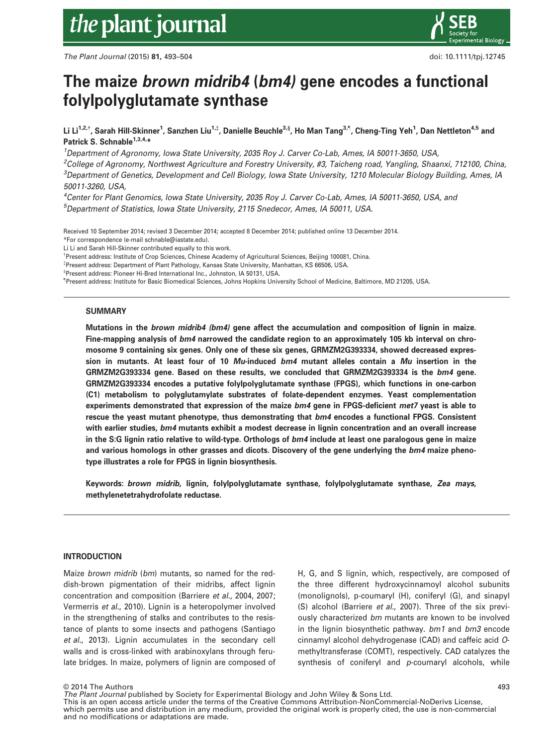### The maize brown midrib4 (bm4) gene encodes a functional folylpolyglutamate synthase

Li Li<sup>1,2,†</sup>, Sarah Hill-Skinner<sup>1</sup>, Sanzhen Liu<sup>1,‡</sup>, Danielle Beuchle<sup>3,§</sup>, Ho Man Tang<sup>3,¶</sup>, Cheng-Ting Yeh<sup>1</sup>, Dan Nettleton<sup>4,5</sup> and Patrick S. Schnable<sup>1,3,4,\*</sup>

1 Department of Agronomy, Iowa State University, 2035 Roy J. Carver Co-Lab, Ames, IA 50011-3650, USA,

2 College of Agronomy, Northwest Agriculture and Forestry University, #3, Taicheng road, Yangling, Shaanxi, 712100, China, 3 Department of Genetics, Development and Cell Biology, Iowa State University, 1210 Molecular Biology Building, Ames, IA 50011-3260, USA,

4 Center for Plant Genomics, Iowa State University, 2035 Roy J. Carver Co-Lab, Ames, IA 50011-3650, USA, and 5 Department of Statistics, Iowa State University, 2115 Snedecor, Ames, IA 50011, USA.

Received 10 September 2014; revised 3 December 2014; accepted 8 December 2014; published online 13 December 2014. \*For correspondence (e-mail schnable@iastate.edu).

Li Li and Sarah Hill-Skinner contributed equally to this work.

† Present address: Institute of Crop Sciences, Chinese Academy of Agricultural Sciences, Beijing 100081, China.

‡ Present address: Department of Plant Pathology, Kansas State University, Manhattan, KS 66506, USA.

§ Present address: Pioneer Hi-Bred International Inc., Johnston, IA 50131, USA.

– Present address: Institute for Basic Biomedical Sciences, Johns Hopkins University School of Medicine, Baltimore, MD 21205, USA.

#### **SUMMARY**

Mutations in the brown midrib4 (bm4) gene affect the accumulation and composition of lignin in maize. Fine-mapping analysis of bm4 narrowed the candidate region to an approximately 105 kb interval on chromosome 9 containing six genes. Only one of these six genes, GRMZM2G393334, showed decreased expression in mutants. At least four of 10  $Mu$ -induced  $bm$  mutant alleles contain a  $Mu$  insertion in the GRMZM2G393334 gene. Based on these results, we concluded that GRMZM2G393334 is the bm4 gene. GRMZM2G393334 encodes a putative folylpolyglutamate synthase (FPGS), which functions in one-carbon (C1) metabolism to polyglutamylate substrates of folate-dependent enzymes. Yeast complementation experiments demonstrated that expression of the maize bm4 gene in FPGS-deficient met7 yeast is able to rescue the yeast mutant phenotype, thus demonstrating that  $bm4$  encodes a functional FPGS. Consistent with earlier studies, bm4 mutants exhibit a modest decrease in lignin concentration and an overall increase in the S:G lignin ratio relative to wild-type. Orthologs of bm4 include at least one paralogous gene in maize and various homologs in other grasses and dicots. Discovery of the gene underlying the bm4 maize phenotype illustrates a role for FPGS in lignin biosynthesis.

Keywords: brown midrib, lignin, folylpolyglutamate synthase, folylpolyglutamate synthase, Zea mays, methylenetetrahydrofolate reductase.

#### INTRODUCTION

Maize brown midrib (bm) mutants, so named for the reddish-brown pigmentation of their midribs, affect lignin concentration and composition (Barriere et al., 2004, 2007; Vermerris et al., 2010). Lignin is a heteropolymer involved in the strengthening of stalks and contributes to the resistance of plants to some insects and pathogens (Santiago et al., 2013). Lignin accumulates in the secondary cell walls and is cross-linked with arabinoxylans through ferulate bridges. In maize, polymers of lignin are composed of H, G, and S lignin, which, respectively, are composed of the three different hydroxycinnamoyl alcohol subunits (monolignols), p-coumaryl (H), coniferyl (G), and sinapyl (S) alcohol (Barriere et al., 2007). Three of the six previously characterized bm mutants are known to be involved in the lignin biosynthetic pathway. bm1 and bm3 encode cinnamyl alcohol dehydrogenase (CAD) and caffeic acid Omethyltransferase (COMT), respectively. CAD catalyzes the synthesis of coniferyl and p-coumaryl alcohols, while

© 2014 The Authors

The Plant Journal published by Society for Experimental Biology and John Wiley & Sons Ltd. This is an open access article under the terms of the [Creative Commons Attribution-NonCommercial-NoDerivs](http://creativecommons.org/licenses/by-nc-nd/3.0/) License, which permits use and distribution in any medium, provided the original work is properly cited, the use is non-commercial and no modifications or adaptations are made.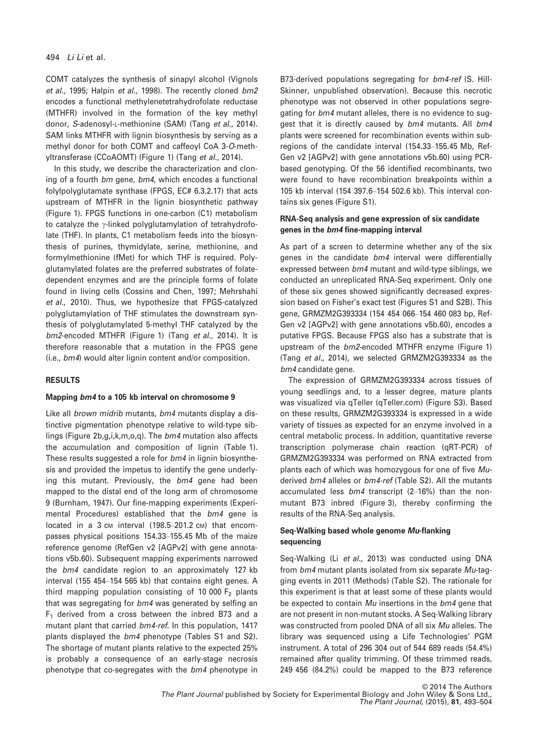COMT catalyzes the synthesis of sinapyl alcohol (Vignols et al., 1995; Halpin et al., 1998). The recently cloned bm2 encodes a functional methylenetetrahydrofolate reductase (MTHFR) involved in the formation of the key methyl donor, S-adenosyl-L-methionine (SAM) (Tang et al., 2014). SAM links MTHFR with lignin biosynthesis by serving as a methyl donor for both COMT and caffeoyl CoA 3-O-methyltransferase (CCoAOMT) (Figure 1) (Tang et al., 2014).

In this study, we describe the characterization and cloning of a fourth bm gene, bm4, which encodes a functional folylpolyglutamate synthase (FPGS, EC# [6.3.2.17](http://www.chem.qmul.ac.uk/iubmb/enzyme/EC.html)) that acts upstream of MTHFR in the lignin biosynthetic pathway (Figure 1). FPGS functions in one-carbon (C1) metabolism to catalyze the  $\gamma$ -linked polyglutamylation of tetrahydrofolate (THF). In plants, C1 metabolism feeds into the biosynthesis of purines, thymidylate, serine, methionine, and formylmethionine (fMet) for which THF is required. Polyglutamylated folates are the preferred substrates of folatedependent enzymes and are the principle forms of folate found in living cells (Cossins and Chen, 1997; Mehrshahi et al., 2010). Thus, we hypothesize that FPGS-catalyzed polyglutamylation of THF stimulates the downstream synthesis of polyglutamylated 5-methyl THF catalyzed by the bm2-encoded MTHFR (Figure 1) (Tang et al., 2014). It is therefore reasonable that a mutation in the FPGS gene (i.e., bm4) would alter lignin content and/or composition.

#### RESULTS

#### Mapping bm4 to a 105 kb interval on chromosome 9

Like all *brown midrib* mutants, bm4 mutants display a distinctive pigmentation phenotype relative to wild-type siblings (Figure 2b,g,i,k,m,o,q). The bm4 mutation also affects the accumulation and composition of lignin (Table 1). These results suggested a role for bm4 in lignin biosynthesis and provided the impetus to identify the gene underlying this mutant. Previously, the bm4 gene had been mapped to the distal end of the long arm of chromosome 9 (Burnham, 1947). Our fine-mapping experiments (Experimental Procedures) established that the bm4 gene is located in a 3 cm interval (198.5–201.2 cm) that encompasses physical positions 154.33–155.45 Mb of the maize reference genome (RefGen v2 [AGPv2] with gene annotations v5b.60). Subsequent mapping experiments narrowed the bm4 candidate region to an approximately 127 kb interval (155 454–154 565 kb) that contains eight genes. A third mapping population consisting of 10 000  $F<sub>2</sub>$  plants that was segregating for bm4 was generated by selfing an  $F_1$  derived from a cross between the inbred B73 and a mutant plant that carried bm4-ref. In this population, 1417 plants displayed the bm4 phenotype (Tables S1 and S2). The shortage of mutant plants relative to the expected 25% is probably a consequence of an early-stage necrosis phenotype that co-segregates with the bm4 phenotype in B73-derived populations segregating for bm4-ref (S. Hill-Skinner, unpublished observation). Because this necrotic phenotype was not observed in other populations segregating for bm4 mutant alleles, there is no evidence to suggest that it is directly caused by bm4 mutants. All bm4 plants were screened for recombination events within subregions of the candidate interval (154.33–155.45 Mb, Ref-Gen v2 [AGPv2] with gene annotations v5b.60) using PCRbased genotyping. Of the 56 identified recombinants, two were found to have recombination breakpoints within a 105 kb interval (154 397.6–154 502.6 kb). This interval contains six genes (Figure S1).

#### RNA-Seq analysis and gene expression of six candidate genes in the bm4 fine-mapping interval

As part of a screen to determine whether any of the six genes in the candidate bm4 interval were differentially expressed between bm4 mutant and wild-type siblings, we conducted an unreplicated RNA-Seq experiment. Only one of these six genes showed significantly decreased expression based on Fisher's exact test (Figures S1 and S2B). This gene, GRMZM2G393334 (154 454 066–154 460 083 bp, Ref-Gen v2 [AGPv2] with gene annotations v5b.60), encodes a putative FPGS. Because FPGS also has a substrate that is upstream of the bm2-encoded MTHFR enzyme (Figure 1) (Tang et al., 2014), we selected GRMZM2G393334 as the bm4 candidate gene.

The expression of GRMZM2G393334 across tissues of young seedlings and, to a lesser degree, mature plants was visualized via qTeller (qTeller.com) (Figure S3). Based on these results, GRMZM2G393334 is expressed in a wide variety of tissues as expected for an enzyme involved in a central metabolic process. In addition, quantitative reverse transcription polymerase chain reaction (qRT-PCR) of GRMZM2G393334 was performed on RNA extracted from plants each of which was homozygous for one of five Muderived bm4 alleles or bm4-ref (Table S2). All the mutants accumulated less bm4 transcript (2–16%) than the nonmutant B73 inbred (Figure 3), thereby confirming the results of the RNA-Seq analysis.

#### Seq-Walking based whole genome Mu-flanking sequencing

Seq-Walking (Li et al., 2013) was conducted using DNA from bm4 mutant plants isolated from six separate Mu-tagging events in 2011 (Methods) (Table S2). The rationale for this experiment is that at least some of these plants would be expected to contain Mu insertions in the bm4 gene that are not present in non-mutant stocks. A Seq-Walking library was constructed from pooled DNA of all six Mu alleles. The library was sequenced using a Life Technologies' PGM instrument. A total of 296 304 out of 544 689 reads (54.4%) remained after quality trimming. Of these trimmed reads, 249 456 (84.2%) could be mapped to the B73 reference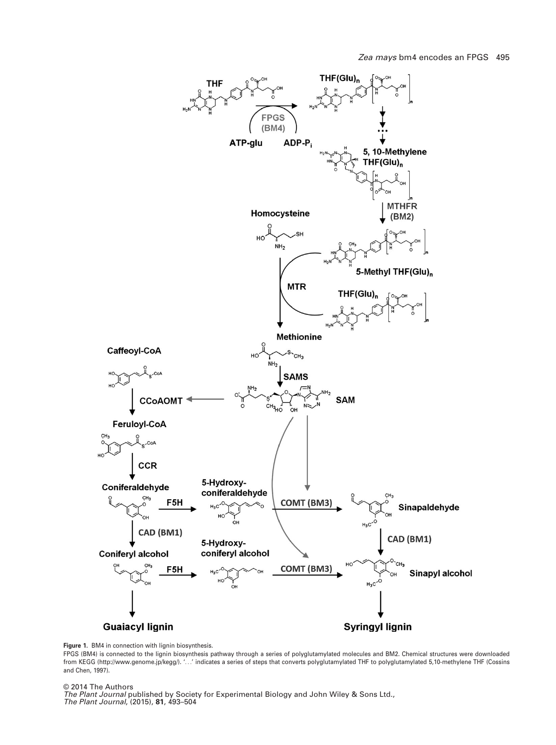

Figure 1. BM4 in connection with lignin biosynthesis.

FPGS (BM4) is connected to the lignin biosynthesis pathway through a series of polyglutamylated molecules and BM2. Chemical structures were downloaded from KEGG [\(http://www.genome.jp/kegg/\)](http://www.genome.jp/kegg/). '...' indicates a series of steps that converts polyglutamylated THF to polyglutamylated 5,10-methylene THF (Cossins and Chen, 1997).

© 2014 The Authors

The Plant Journal published by Society for Experimental Biology and John Wiley & Sons Ltd., The Plant Journal, (2015), 81, 493–504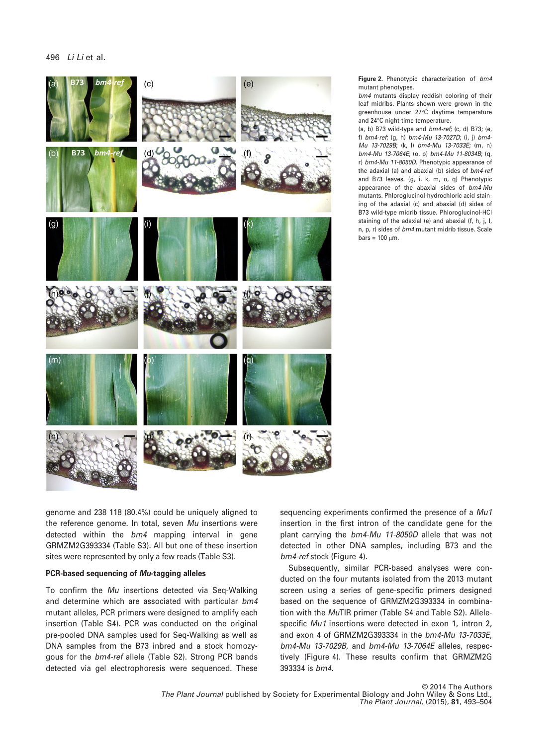

Figure 2. Phenotypic characterization of bm4 mutant phenotypes.

bm4 mutants display reddish coloring of their leaf midribs. Plants shown were grown in the greenhouse under 27°C daytime temperature and 24°C night-time temperature.

(a, b) B73 wild-type and  $bm4$ -ref; (c, d) B73; (e, f) bm4-ref; (g, h) bm4-Mu 13-7027D; (i, j) bm4- Mu 13-7029B; (k, l) bm4-Mu 13-7033E; (m, n) bm4-Mu 13-7064E; (o, p) bm4-Mu 11-8034B; (q, r) bm4-Mu 11-8050D. Phenotypic appearance of the adaxial (a) and abaxial (b) sides of bm4-ref and B73 leaves. (g, i, k, m, o, q) Phenotypic appearance of the abaxial sides of bm4-Mu mutants. Phloroglucinol-hydrochloric acid staining of the adaxial (c) and abaxial (d) sides of B73 wild-type midrib tissue. Phloroglucinol-HCl staining of the adaxial (e) and abaxial (f, h, j, l, n, p, r) sides of bm4 mutant midrib tissue. Scale  $bars = 100$  um.

genome and 238 118 (80.4%) could be uniquely aligned to the reference genome. In total, seven Mu insertions were detected within the bm4 mapping interval in gene GRMZM2G393334 (Table S3). All but one of these insertion sites were represented by only a few reads (Table S3).

#### PCR-based sequencing of Mu-tagging alleles

To confirm the Mu insertions detected via Seq-Walking and determine which are associated with particular bm4 mutant alleles, PCR primers were designed to amplify each insertion (Table S4). PCR was conducted on the original pre-pooled DNA samples used for Seq-Walking as well as DNA samples from the B73 inbred and a stock homozygous for the bm4-ref allele (Table S2). Strong PCR bands detected via gel electrophoresis were sequenced. These

sequencing experiments confirmed the presence of a Mu1 insertion in the first intron of the candidate gene for the plant carrying the bm4-Mu 11-8050D allele that was not detected in other DNA samples, including B73 and the bm4-ref stock (Figure 4).

Subsequently, similar PCR-based analyses were conducted on the four mutants isolated from the 2013 mutant screen using a series of gene-specific primers designed based on the sequence of GRMZM2G393334 in combination with the MuTIR primer (Table S4 and Table S2). Allelespecific Mu1 insertions were detected in exon 1, intron 2, and exon 4 of GRMZM2G393334 in the bm4-Mu 13-7033E, bm4-Mu 13-7029B, and bm4-Mu 13-7064E alleles, respectively (Figure 4). These results confirm that GRMZM2G 393334 is bm4.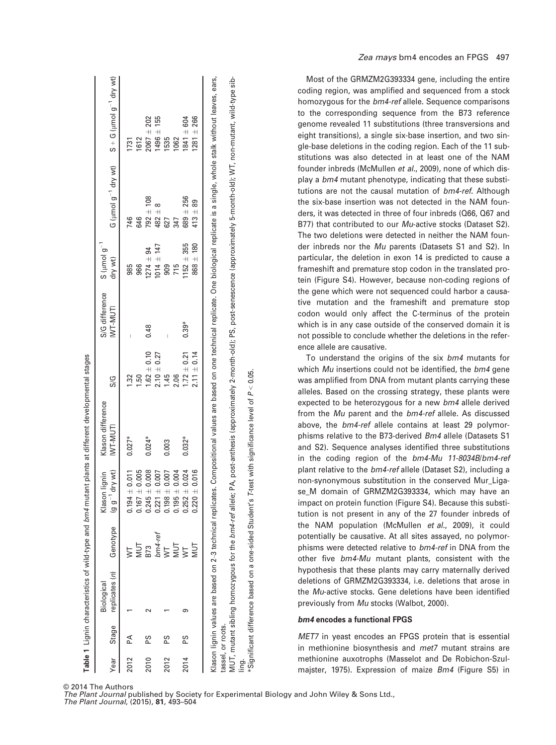|      |                   | Biological                                 |                         | Klason lignin                    | Klason difference<br>IVT-MUTI | S/G             | S/G difference<br>IVVT-MUTI | $S$ ( $\mu$ mol $g^{-1}$ |               |                                                                                                                                                                                                |
|------|-------------------|--------------------------------------------|-------------------------|----------------------------------|-------------------------------|-----------------|-----------------------------|--------------------------|---------------|------------------------------------------------------------------------------------------------------------------------------------------------------------------------------------------------|
| Year | Stage             | replicates (n) Genotype (g g <sup>-1</sup> |                         | dry wt)                          |                               |                 |                             | dry wt)                  |               | G (umol $g^{-1}$ dry wt) $S + G$ (umol $g^{-1}$ dry wt)                                                                                                                                        |
| 2012 | Ã                 |                                            |                         | ± 0.011<br>0.194                 | $0.027*$                      | $\frac{2}{3}$   |                             | 985                      | 746           | <b>1731</b>                                                                                                                                                                                    |
|      |                   |                                            | MUT<br>B73              | 0.005<br>$\bar{+}$<br>0.167      |                               | <b>1.50</b>     |                             | 966                      | 646           | 1612                                                                                                                                                                                           |
| 2010 | PS.               |                                            |                         | 0.008<br>$\overline{+}$<br>0.245 | $0.024*$                      | $1.62 \pm 0.10$ | 0.48                        | $1274 \pm 94$            | $792 \pm 108$ | $2067 + 202$                                                                                                                                                                                   |
|      |                   |                                            | bm4-ref                 | 0.007<br>$\overline{+}$<br>0.221 |                               | $2.10 + 0.27$   |                             | $1014 \pm 147$           | $482 +$       | $1496 \pm 155$                                                                                                                                                                                 |
| 2012 | 58                |                                            | $\overline{\mathsf{S}}$ | 0.007<br>$\ddot{}$<br>0.198      | 0.003                         | 1.45            |                             | 909                      | 627           | 1535                                                                                                                                                                                           |
|      |                   |                                            | <b>NUT</b>              | 0.004<br>$\overline{+}$<br>0.195 |                               | 2.06            |                             | 715                      | 347           | 1062                                                                                                                                                                                           |
| 2014 | 6S                | σ.                                         | $\overline{\mathsf{S}}$ | 0.024<br>$\ddot{}$<br>0.252      | $0.032*$                      | $1.72 \pm 0.21$ | $0.39*$                     | $152 + 355$              | $689 + 256$   | $1841 \pm 604$                                                                                                                                                                                 |
|      |                   |                                            | Jur<br>N                | ± 0.016<br>0.220                 |                               | $2.11 \pm 0.14$ |                             | $868 \pm 180$            | $413 \pm 89$  | $1281 \pm 266$                                                                                                                                                                                 |
|      |                   |                                            |                         |                                  |                               |                 |                             |                          |               |                                                                                                                                                                                                |
|      |                   |                                            |                         |                                  |                               |                 |                             |                          |               | Klason lignin values are based on 2-3 technical replicates. Compositional values are based on one technical replicate. One biological replicate is a single, whole stalk without leares, ears, |
|      | tassel, or roots. |                                            |                         |                                  |                               |                 |                             |                          |               |                                                                                                                                                                                                |

MUT, mutant sibling homozygous for the bm4-ref allele; PA, post-anthesis (approximately 2-month-old); PS, post-senescence (approximately 5-month-old); WT, non-mutant, wild-type sib-/IUT, mutant sibling homozygous for the *bm4-ref* allele; PA, post-anthesis (approximately 2-month-old); PS, post-senescence (approximately 5-month-old); WT, non-mutant, wild-type sib- $P < 0.05$ . \*Significant difference based on a one-sided Student's T-test with significance level of ling.

Most of the GRMZM2G393334 gene, including the entire coding region, was amplified and sequenced from a stock homozygous for the bm4-ref allele. Sequence comparisons to the corresponding sequence from the B73 reference genome revealed 11 substitutions (three transversions and eight transitions), a single six-base insertion, and two single-base deletions in the coding region. Each of the 11 substitutions was also detected in at least one of the NAM founder inbreds (McMullen et al., 2009), none of which display a bm4 mutant phenotype, indicating that these substitutions are not the causal mutation of  $bm4$ -ref. Although the six-base insertion was not detected in the NAM founders, it was detected in three of four inbreds (Q66, Q67 and B77) that contributed to our Mu-active stocks (Dataset S2). The two deletions were detected in neither the NAM founder inbreds nor the Mu parents (Datasets S1 and S2). In particular, the deletion in exon 14 is predicted to cause a frameshift and premature stop codon in the translated protein (Figure S4). However, because non-coding regions of the gene which were not sequenced could harbor a causative mutation and the frameshift and premature stop codon would only affect the C-terminus of the protein which is in any case outside of the conserved domain it is not possible to conclude whether the deletions in the reference allele are causative.

To understand the origins of the six bm4 mutants for which Mu insertions could not be identified, the bm4 gene was amplified from DNA from mutant plants carrying these alleles. Based on the crossing strategy, these plants were expected to be heterozygous for a new bm4 allele derived from the Mu parent and the bm4-ref allele. As discussed above, the bm4-ref allele contains at least 29 polymorphisms relative to the B73-derived Bm4 allele (Datasets S1 and S2). Sequence analyses identified three substitutions in the coding region of the bm4-Mu 11-8034B/bm4-ref plant relative to the bm4-ref allele (Dataset S2), including a non-synonymous substitution in the conserved Mur\_Ligase M domain of GRMZM2G393334, which may have an impact on protein function (Figure S4). Because this substitution is not present in any of the 27 founder inbreds of the NAM population (McMullen et al., 2009), it could potentially be causative. At all sites assayed, no polymorphisms were detected relative to bm4-ref in DNA from the other five bm4-Mu mutant plants, consistent with the hypothesis that these plants may carry maternally derived deletions of GRMZM2G393334, i.e. deletions that arose in the Mu-active stocks. Gene deletions have been identified previously from Mu stocks (Walbot, 2000).

#### bm4 encodes a functional FPGS

MET7 in yeast encodes an FPGS protein that is essential in methionine biosynthesis and met7 mutant strains are methionine auxotrophs (Masselot and De Robichon-Szulmajster, 1975). Expression of maize Bm4 (Figure S5) in

© 2014 The Authors

Table 1

The Plant Journal published by Society for Experimental Biology and John Wiley & Sons Ltd., The Plant Journal, (2015), 81, 493–504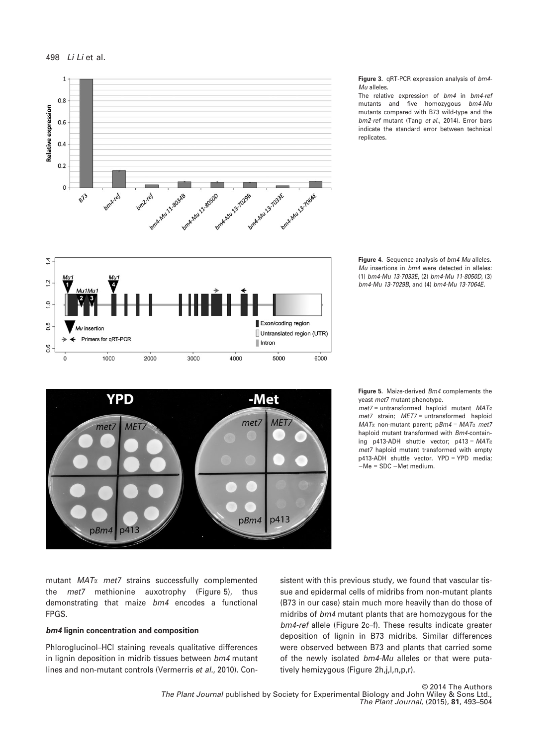

Figure 3. qRT-PCR expression analysis of bm4- Mu alleles.

The relative expression of bm4 in bm4-ref mutants and five homozygous bm4-Mu mutants compared with B73 wild-type and the bm2-ref mutant (Tang et al., 2014). Error bars indicate the standard error between technical replicates.







Figure 5. Maize-derived *Bm4* complements the yeast met7 mutant phenotype.

 $met7 = untransformed$  haploid mutant  $MAT<sub>x</sub>$ met7 strain; MET7 = untransformed haploid  $MAT\alpha$  non-mutant parent; pBm4 =  $MAT\alpha$  met7 haploid mutant transformed with Bm4-containing p413-ADH shuttle vector; p413 =  $MATx$ met7 haploid mutant transformed with empty p413-ADH shuttle vector. YPD = YPD media;  $-Me = SDC - Met medium$ .

mutant  $MAT\alpha$  met7 strains successfully complemented the met7 methionine auxotrophy (Figure 5), thus demonstrating that maize bm4 encodes a functional FPGS.

#### bm4 lignin concentration and composition

Phloroglucinol–HCl staining reveals qualitative differences in lignin deposition in midrib tissues between bm4 mutant lines and non-mutant controls (Vermerris et al., 2010). Consistent with this previous study, we found that vascular tissue and epidermal cells of midribs from non-mutant plants (B73 in our case) stain much more heavily than do those of midribs of bm4 mutant plants that are homozygous for the bm4-ref allele (Figure 2c–f). These results indicate greater deposition of lignin in B73 midribs. Similar differences were observed between B73 and plants that carried some of the newly isolated bm4-Mu alleles or that were putatively hemizygous (Figure 2h,i,l,n,p,r).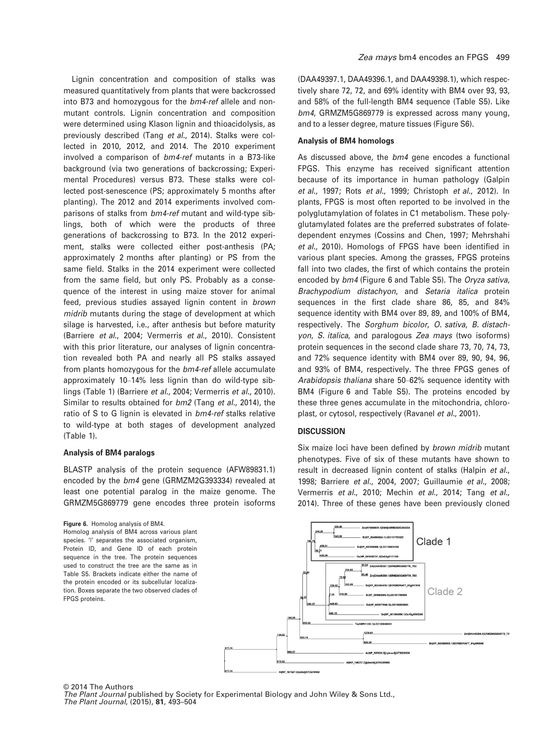Lignin concentration and composition of stalks was measured quantitatively from plants that were backcrossed into B73 and homozygous for the bm4-ref allele and nonmutant controls. Lignin concentration and composition were determined using Klason lignin and thioacidolysis, as previously described (Tang et al., 2014). Stalks were collected in 2010, 2012, and 2014. The 2010 experiment involved a comparison of bm4-ref mutants in a B73-like background (via two generations of backcrossing; Experimental Procedures) versus B73. These stalks were collected post-senescence (PS; approximately 5 months after planting). The 2012 and 2014 experiments involved comparisons of stalks from bm4-ref mutant and wild-type siblings, both of which were the products of three generations of backcrossing to B73. In the 2012 experiment, stalks were collected either post-anthesis (PA; approximately 2 months after planting) or PS from the same field. Stalks in the 2014 experiment were collected from the same field, but only PS. Probably as a consequence of the interest in using maize stover for animal feed, previous studies assayed lignin content in brown midrib mutants during the stage of development at which silage is harvested, i.e., after anthesis but before maturity (Barriere et al., 2004; Vermerris et al., 2010). Consistent with this prior literature, our analyses of lignin concentration revealed both PA and nearly all PS stalks assayed from plants homozygous for the bm4-ref allele accumulate approximately 10–14% less lignin than do wild-type siblings (Table 1) (Barriere et al., 2004; Vermerris et al., 2010). Similar to results obtained for bm2 (Tang et al., 2014), the ratio of S to G lignin is elevated in bm4-ref stalks relative to wild-type at both stages of development analyzed (Table 1).

#### Analysis of BM4 paralogs

BLASTP analysis of the protein sequence (AFW89831.1) encoded by the bm4 gene (GRMZM2G393334) revealed at least one potential paralog in the maize genome. The GRMZM5G869779 gene encodes three protein isoforms

#### Figure 6. Homolog analysis of BM4.

Homolog analysis of BM4 across various plant species. 'I' separates the associated organism, Protein ID, and Gene ID of each protein sequence in the tree. The protein sequences used to construct the tree are the same as in Table S5. Brackets indicate either the name of the protein encoded or its subcellular localization. Boxes separate the two observed clades of FPGS proteins.

(DAA49397.1, DAA49396.1, and DAA49398.1), which respectively share 72, 72, and 69% identity with BM4 over 93, 93, and 58% of the full-length BM4 sequence (Table S5). Like bm4, GRMZM5G869779 is expressed across many young, and to a lesser degree, mature tissues (Figure S6).

#### Analysis of BM4 homologs

As discussed above, the bm4 gene encodes a functional FPGS. This enzyme has received significant attention because of its importance in human pathology (Galpin et al., 1997; Rots et al., 1999; Christoph et al., 2012). In plants, FPGS is most often reported to be involved in the polyglutamylation of folates in C1 metabolism. These polyglutamylated folates are the preferred substrates of folatedependent enzymes (Cossins and Chen, 1997; Mehrshahi et al., 2010). Homologs of FPGS have been identified in various plant species. Among the grasses, FPGS proteins fall into two clades, the first of which contains the protein encoded by bm4 (Figure 6 and Table S5). The Oryza sativa, Brachypodium distachyon, and Setaria italica protein sequences in the first clade share 86, 85, and 84% sequence identity with BM4 over 89, 89, and 100% of BM4, respectively. The Sorghum bicolor, O. sativa, B. distachyon, S. italica, and paralogous Zea mays (two isoforms) protein sequences in the second clade share 73, 70, 74, 73, and 72% sequence identity with BM4 over 89, 90, 94, 96, and 93% of BM4, respectively. The three FPGS genes of Arabidopsis thaliana share 50–62% sequence identity with BM4 (Figure 6 and Table S5). The proteins encoded by these three genes accumulate in the mitochondria, chloroplast, or cytosol, respectively (Ravanel et al., 2001).

#### **DISCUSSION**

Six maize loci have been defined by brown midrib mutant phenotypes. Five of six of these mutants have shown to result in decreased lignin content of stalks (Halpin et al., 1998; Barriere et al., 2004, 2007; Guillaumie et al., 2008; Vermerris et al., 2010; Mechin et al., 2014; Tang et al., 2014). Three of these genes have been previously cloned



© 2014 The Authors The Plant Journal published by Society for Experimental Biology and John Wiley & Sons Ltd., The Plant Journal, (2015), 81, 493–504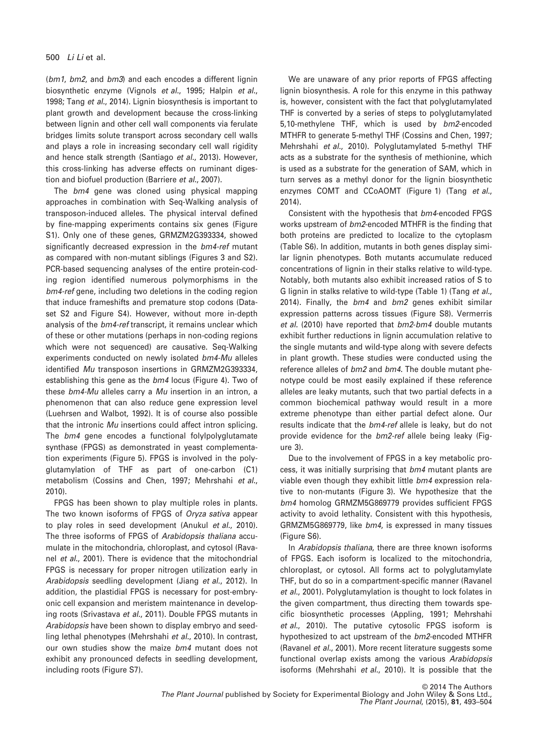(bm1, bm2, and bm3) and each encodes a different lignin biosynthetic enzyme (Vignols et al., 1995; Halpin et al., 1998; Tang et al., 2014). Lignin biosynthesis is important to plant growth and development because the cross-linking between lignin and other cell wall components via ferulate bridges limits solute transport across secondary cell walls and plays a role in increasing secondary cell wall rigidity and hence stalk strength (Santiago et al., 2013). However, this cross-linking has adverse effects on ruminant digestion and biofuel production (Barriere et al., 2007).

The bm4 gene was cloned using physical mapping approaches in combination with Seq-Walking analysis of transposon-induced alleles. The physical interval defined by fine-mapping experiments contains six genes (Figure S1). Only one of these genes, GRMZM2G393334, showed significantly decreased expression in the bm4-ref mutant as compared with non-mutant siblings (Figures 3 and S2). PCR-based sequencing analyses of the entire protein-coding region identified numerous polymorphisms in the bm4-ref gene, including two deletions in the coding region that induce frameshifts and premature stop codons (Dataset S2 and Figure S4). However, without more in-depth analysis of the bm4-ref transcript, it remains unclear which of these or other mutations (perhaps in non-coding regions which were not sequenced) are causative. Seq-Walking experiments conducted on newly isolated bm4-Mu alleles identified Mu transposon insertions in GRMZM2G393334, establishing this gene as the bm4 locus (Figure 4). Two of these bm4-Mu alleles carry a Mu insertion in an intron, a phenomenon that can also reduce gene expression level (Luehrsen and Walbot, 1992). It is of course also possible that the intronic Mu insertions could affect intron splicing. The bm4 gene encodes a functional folylpolyglutamate synthase (FPGS) as demonstrated in yeast complementation experiments (Figure 5). FPGS is involved in the polyglutamylation of THF as part of one-carbon (C1) metabolism (Cossins and Chen, 1997; Mehrshahi et al., 2010).

FPGS has been shown to play multiple roles in plants. The two known isoforms of FPGS of Oryza sativa appear to play roles in seed development (Anukul et al., 2010). The three isoforms of FPGS of Arabidopsis thaliana accumulate in the mitochondria, chloroplast, and cytosol (Ravanel et al., 2001). There is evidence that the mitochondrial FPGS is necessary for proper nitrogen utilization early in Arabidopsis seedling development (Jiang et al., 2012). In addition, the plastidial FPGS is necessary for post-embryonic cell expansion and meristem maintenance in developing roots (Srivastava et al., 2011). Double FPGS mutants in Arabidopsis have been shown to display embryo and seedling lethal phenotypes (Mehrshahi et al., 2010). In contrast, our own studies show the maize bm4 mutant does not exhibit any pronounced defects in seedling development, including roots (Figure S7).

We are unaware of any prior reports of FPGS affecting lignin biosynthesis. A role for this enzyme in this pathway is, however, consistent with the fact that polyglutamylated THF is converted by a series of steps to polyglutamylated 5,10-methylene THF, which is used by bm2-encoded MTHFR to generate 5-methyl THF (Cossins and Chen, 1997; Mehrshahi et al., 2010). Polyglutamylated 5-methyl THF acts as a substrate for the synthesis of methionine, which is used as a substrate for the generation of SAM, which in turn serves as a methyl donor for the lignin biosynthetic enzymes COMT and CCoAOMT (Figure 1) (Tang et al., 2014).

Consistent with the hypothesis that bm4-encoded FPGS works upstream of bm2-encoded MTHFR is the finding that both proteins are predicted to localize to the cytoplasm (Table S6). In addition, mutants in both genes display similar lignin phenotypes. Both mutants accumulate reduced concentrations of lignin in their stalks relative to wild-type. Notably, both mutants also exhibit increased ratios of S to G lignin in stalks relative to wild-type (Table 1) (Tang et al., 2014). Finally, the bm4 and bm2 genes exhibit similar expression patterns across tissues (Figure S8). Vermerris et al. (2010) have reported that bm2-bm4 double mutants exhibit further reductions in lignin accumulation relative to the single mutants and wild-type along with severe defects in plant growth. These studies were conducted using the reference alleles of bm2 and bm4. The double mutant phenotype could be most easily explained if these reference alleles are leaky mutants, such that two partial defects in a common biochemical pathway would result in a more extreme phenotype than either partial defect alone. Our results indicate that the bm4-ref allele is leaky, but do not provide evidence for the bm2-ref allele being leaky (Figure 3).

Due to the involvement of FPGS in a key metabolic process, it was initially surprising that bm4 mutant plants are viable even though they exhibit little bm4 expression relative to non-mutants (Figure 3). We hypothesize that the bm4 homolog GRMZM5G869779 provides sufficient FPGS activity to avoid lethality. Consistent with this hypothesis, GRMZM5G869779, like bm4, is expressed in many tissues (Figure S6).

In Arabidopsis thaliana, there are three known isoforms of FPGS. Each isoform is localized to the mitochondria, chloroplast, or cytosol. All forms act to polyglutamylate THF, but do so in a compartment-specific manner (Ravanel et al., 2001). Polyglutamylation is thought to lock folates in the given compartment, thus directing them towards specific biosynthetic processes (Appling, 1991; Mehrshahi et al., 2010). The putative cytosolic FPGS isoform is hypothesized to act upstream of the bm2-encoded MTHFR (Ravanel et al., 2001). More recent literature suggests some functional overlap exists among the various Arabidopsis isoforms (Mehrshahi et al., 2010). It is possible that the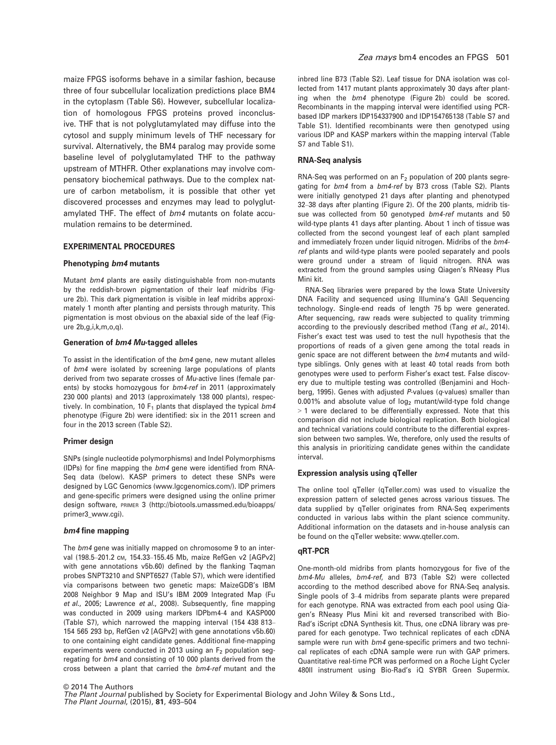maize FPGS isoforms behave in a similar fashion, because three of four subcellular localization predictions place BM4 in the cytoplasm (Table S6). However, subcellular localization of homologous FPGS proteins proved inconclusive. THF that is not polyglutamylated may diffuse into the cytosol and supply minimum levels of THF necessary for survival. Alternatively, the BM4 paralog may provide some baseline level of polyglutamylated THF to the pathway upstream of MTHFR. Other explanations may involve compensatory biochemical pathways. Due to the complex nature of carbon metabolism, it is possible that other yet discovered processes and enzymes may lead to polyglutamylated THF. The effect of  $bm4$  mutants on folate accumulation remains to be determined.

#### EXPERIMENTAL PROCEDURES

#### Phenotyping bm4 mutants

Mutant bm4 plants are easily distinguishable from non-mutants by the reddish-brown pigmentation of their leaf midribs (Figure 2b). This dark pigmentation is visible in leaf midribs approximately 1 month after planting and persists through maturity. This pigmentation is most obvious on the abaxial side of the leaf (Figure 2b,g,i,k,m,o,q).

#### Generation of bm4 Mu-tagged alleles

To assist in the identification of the bm4 gene, new mutant alleles of bm4 were isolated by screening large populations of plants derived from two separate crosses of Mu-active lines (female parents) by stocks homozygous for bm4-ref in 2011 (approximately 230 000 plants) and 2013 (approximately 138 000 plants), respectively. In combination, 10  $F_1$  plants that displayed the typical  $bm4$ phenotype (Figure 2b) were identified: six in the 2011 screen and four in the 2013 screen (Table S2).

#### Primer design

SNPs (single nucleotide polymorphisms) and Indel Polymorphisms (IDPs) for fine mapping the bm4 gene were identified from RNA-Seq data (below). KASP primers to detect these SNPs were designed by LGC Genomics ([www.lgcgenomics.com/\)](www.lgcgenomics.com/). IDP primers and gene-specific primers were designed using the online primer design software, PRIMER 3 [\(http://biotools.umassmed.edu/bioapps/](http://biotools.umassmed.edu/bioapps/primer3_www.cgi) [primer3\\_www.cgi](http://biotools.umassmed.edu/bioapps/primer3_www.cgi)).

#### bm4 fine mapping

The  $bm4$  gene was initially mapped on chromosome 9 to an interval (198.5–201.2 cM, 154.33–155.45 Mb, maize RefGen v2 [AGPv2] with gene annotations v5b.60) defined by the flanking Taqman probes SNPT3210 and SNPT6527 (Table S7), which were identified via comparisons between two genetic maps: MaizeGDB's IBM 2008 Neighbor 9 Map and ISU's IBM 2009 Integrated Map (Fu et al., 2005; Lawrence et al., 2008). Subsequently, fine mapping was conducted in 2009 using markers IDPbm4-4 and KASP000 (Table S7), which narrowed the mapping interval (154 438 813– 154 565 293 bp, RefGen v2 [AGPv2] with gene annotations v5b.60) to one containing eight candidate genes. Additional fine-mapping experiments were conducted in 2013 using an  $F_2$  population segregating for bm4 and consisting of 10 000 plants derived from the cross between a plant that carried the bm4-ref mutant and the

inbred line B73 (Table S2). Leaf tissue for DNA isolation was collected from 1417 mutant plants approximately 30 days after planting when the bm4 phenotype (Figure 2b) could be scored. Recombinants in the mapping interval were identified using PCRbased IDP markers IDP154337900 and IDP154765138 (Table S7 and Table S1). Identified recombinants were then genotyped using various IDP and KASP markers within the mapping interval (Table S7 and Table S1).

#### RNA-Seq analysis

RNA-Seq was performed on an  $F_2$  population of 200 plants segregating for bm4 from a bm4-ref by B73 cross (Table S2). Plants were initially genotyped 21 days after planting and phenotyped 32–38 days after planting (Figure 2). Of the 200 plants, midrib tissue was collected from 50 genotyped bm4-ref mutants and 50 wild-type plants 41 days after planting. About 1 inch of tissue was collected from the second youngest leaf of each plant sampled and immediately frozen under liquid nitrogen. Midribs of the bm4 ref plants and wild-type plants were pooled separately and pools were ground under a stream of liquid nitrogen. RNA was extracted from the ground samples using Qiagen's RNeasy Plus Mini kit.

RNA-Seq libraries were prepared by the Iowa State University DNA Facility and sequenced using Illumina's GAII Sequencing technology. Single-end reads of length 75 bp were generated. After sequencing, raw reads were subjected to quality trimming according to the previously described method (Tang et al., 2014). Fisher's exact test was used to test the null hypothesis that the proportions of reads of a given gene among the total reads in genic space are not different between the bm4 mutants and wildtype siblings. Only genes with at least 40 total reads from both genotypes were used to perform Fisher's exact test. False discovery due to multiple testing was controlled (Benjamini and Hochberg, 1995). Genes with adjusted P-values (q-values) smaller than 0.001% and absolute value of  $log<sub>2</sub>$  mutant/wild-type fold change > 1 were declared to be differentially expressed. Note that this comparison did not include biological replication. Both biological and technical variations could contribute to the differential expression between two samples. We, therefore, only used the results of this analysis in prioritizing candidate genes within the candidate interval.

#### Expression analysis using qTeller

The online tool qTeller (qTeller.com) was used to visualize the expression pattern of selected genes across various tissues. The data supplied by qTeller originates from RNA-Seq experiments conducted in various labs within the plant science community. Additional information on the datasets and in-house analysis can be found on the qTeller website: [www.qteller.com](http://www.qteller.com).

#### qRT-PCR

One-month-old midribs from plants homozygous for five of the bm4-Mu alleles, bm4-ref, and B73 (Table S2) were collected according to the method described above for RNA-Seq analysis. Single pools of 3–4 midribs from separate plants were prepared for each genotype. RNA was extracted from each pool using Qiagen's RNeasy Plus Mini kit and reversed transcribed with Bio-Rad's iScript cDNA Synthesis kit. Thus, one cDNA library was prepared for each genotype. Two technical replicates of each cDNA sample were run with  $bm4$  gene-specific primers and two technical replicates of each cDNA sample were run with GAP primers. Quantitative real-time PCR was performed on a Roche Light Cycler 480II instrument using Bio-Rad's iQ SYBR Green Supermix.

© 2014 The Authors The Plant Journal published by Society for Experimental Biology and John Wiley & Sons Ltd., The Plant Journal, (2015), 81, 493–504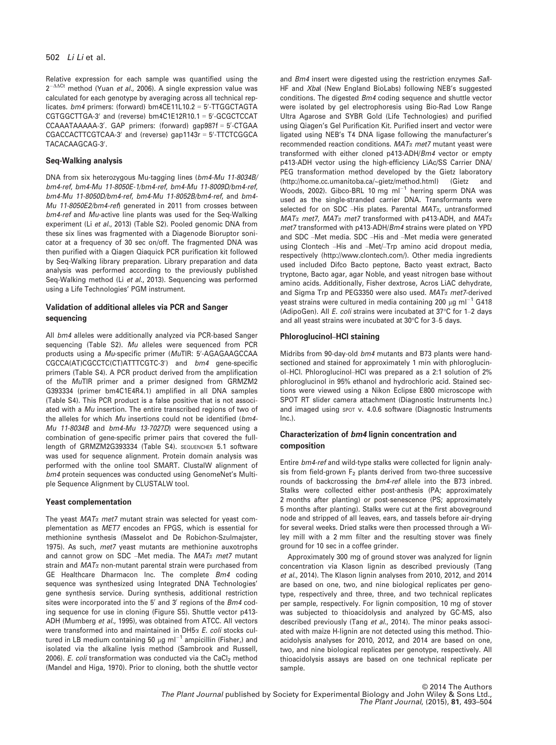Relative expression for each sample was quantified using the  $2^{-\Delta\Delta Ct}$  method (Yuan et al., 2006). A single expression value was calculated for each genotype by averaging across all technical replicates. *bm4* primers: (forward) bm4CE11L10.2 = 5'-TTGGCTAGTA  $CGTGGCTTGA-3'$  and (reverse)  $bm4C1E12R10.1 = 5'-GGGCTCCAT$ CCAAATAAAAA-3'. GAP primers: (forward) gap987f = 5'-CTGAA CGACCACTTCGTCAA-3′ and (reverse) gap1143r = 5′-TTCTCGGCA TACACAAGCAG-3'.

#### Seq-Walking analysis

DNA from six heterozygous Mu-tagging lines (bm4-Mu 11-8034B/ bm4-ref, bm4-Mu 11-8050E-1/bm4-ref, bm4-Mu 11-8009D/bm4-ref, bm4-Mu 11-8050D/bm4-ref, bm4-Mu 11-8052B/bm4-ref, and bm4- Mu 11-8050E2/bm4-ref) generated in 2011 from crosses between bm4-ref and Mu-active line plants was used for the Seq-Walking experiment (Li et al., 2013) (Table S2). Pooled genomic DNA from these six lines was fragmented with a Diagenode Bioruptor sonicator at a frequency of 30 sec on/off. The fragmented DNA was then purified with a Qiagen Qiaquick PCR purification kit followed by Seq-Walking library preparation. Library preparation and data analysis was performed according to the previously published Seq-Walking method (Li et al., 2013). Sequencing was performed using a Life Technologies' PGM instrument.

#### Validation of additional alleles via PCR and Sanger sequencing

All bm4 alleles were additionally analyzed via PCR-based Sanger sequencing (Table S2). Mu alleles were sequenced from PCR products using a *Mu*-specific primer (*Mu*TIR: 5'-AGAGAAGCCAA CGCCA(AT)CGCCTC(CT)ATTTCGTC-3') and bm4 gene-specific primers (Table S4). A PCR product derived from the amplification of the MuTIR primer and a primer designed from GRMZM2 G393334 (primer bm4C1E4R4.1) amplified in all DNA samples (Table S4). This PCR product is a false positive that is not associated with a Mu insertion. The entire transcribed regions of two of the alleles for which Mu insertions could not be identified (bm4- Mu 11-8034B and bm4-Mu 13-7027D) were sequenced using a combination of gene-specific primer pairs that covered the fulllength of GRMZM2G393334 (Table S4). SEQUENCHER 5.1 software was used for sequence alignment. Protein domain analysis was performed with the online tool SMART. ClustalW alignment of bm4 protein sequences was conducted using GenomeNet's Multiple Sequence Alignment by CLUSTALW tool.

#### Yeast complementation

The yeast  $MAT\alpha$  met7 mutant strain was selected for yeast complementation as MET7 encodes an FPGS, which is essential for methionine synthesis (Masselot and De Robichon-Szulmajster, 1975). As such, met7 yeast mutants are methionine auxotrophs and cannot grow on SDC -Met media. The  $MAT\alpha$  met7 mutant strain and  $MAT<sub>\alpha</sub>$  non-mutant parental strain were purchased from GE Healthcare Dharmacon Inc. The complete Bm4 coding sequence was synthesized using Integrated DNA Technologies' gene synthesis service. During synthesis, additional restriction sites were incorporated into the  $5'$  and  $3'$  regions of the  $Bm4$  coding sequence for use in cloning (Figure S5). Shuttle vector p413- ADH (Mumberg et al., 1995), was obtained from ATCC. All vectors were transformed into and maintained in  $DH5\alpha$  E. coli stocks cultured in LB medium containing 50  $\mu$ g ml<sup>-1</sup> ampicillin (Fisher,) and isolated via the alkaline lysis method (Sambrook and Russell, 2006). E. coli transformation was conducted via the CaCl<sub>2</sub> method (Mandel and Higa, 1970). Prior to cloning, both the shuttle vector

and Bm4 insert were digested using the restriction enzymes Sall-HF and Xbal (New England BioLabs) following NEB's suggested conditions. The digested Bm4 coding sequence and shuttle vector were isolated by gel electrophoresis using Bio-Rad Low Range Ultra Agarose and SYBR Gold (Life Technologies) and purified using Qiagen's Gel Purification Kit. Purified insert and vector were ligated using NEB's T4 DNA ligase following the manufacturer's recommended reaction conditions.  $MATx$  met7 mutant yeast were transformed with either cloned p413-ADH/Bm4 vector or empty p413-ADH vector using the high-efficiency LiAc/SS Carrier DNA/ PEG transformation method developed by the Gietz laboratory ([http://home.cc.umanitoba.ca/~gietz/method.html\)](http://home.cc.umanitoba.ca/~gietz/method.html) (Gietz and Woods, 2002). Gibco-BRL 10 mg  $ml^{-1}$  herring sperm DNA was used as the single-stranded carrier DNA. Transformants were selected for on SDC –His plates. Parental  $MAT_{\alpha}$ , untransformed  $MAT\alpha$  met7,  $MAT\alpha$  met7 transformed with p413-ADH, and  $MAT\alpha$ met7 transformed with p413-ADH/Bm4 strains were plated on YPD and SDC –Met media. SDC –His and –Met media were generated using Clontech –His and –Met/–Trp amino acid dropout media, respectively ([http://www.clontech.com/\)](http://www.clontech.com/). Other media ingredients used included Difco Bacto peptone, Bacto yeast extract, Bacto tryptone, Bacto agar, agar Noble, and yeast nitrogen base without amino acids. Additionally, Fisher dextrose, Acros LiAC dehydrate, and Sigma Trp and PEG3350 were also used.  $MAT\alpha$  met7-derived yeast strains were cultured in media containing 200  $\mu$ g ml<sup>-1</sup> G418 (AdipoGen). All E. coli strains were incubated at 37°C for 1–2 days and all yeast strains were incubated at 30°C for 3–5 days.

#### Phloroglucinol–HCl staining

Midribs from 90-day-old bm4 mutants and B73 plants were handsectioned and stained for approximately 1 min with phloroglucinol–HCl. Phloroglucinol–HCl was prepared as a 2:1 solution of 2% phloroglucinol in 95% ethanol and hydrochloric acid. Stained sections were viewed using a Nikon Eclipse E800 microscope with SPOT RT slider camera attachment (Diagnostic Instruments Inc.) and imaged using SPOT v. 4.0.6 software (Diagnostic Instruments Inc.).

#### Characterization of bm4 lignin concentration and composition

Entire bm4-ref and wild-type stalks were collected for lignin analysis from field-grown  $F_2$  plants derived from two-three successive rounds of backcrossing the bm4-ref allele into the B73 inbred. Stalks were collected either post-anthesis (PA; approximately 2 months after planting) or post-senescence (PS; approximately 5 months after planting). Stalks were cut at the first aboveground node and stripped of all leaves, ears, and tassels before air-drying for several weeks. Dried stalks were then processed through a Wiley mill with a 2 mm filter and the resulting stover was finely ground for 10 sec in a coffee grinder.

Approximately 300 mg of ground stover was analyzed for lignin concentration via Klason lignin as described previously (Tang et al., 2014). The Klason lignin analyses from 2010, 2012, and 2014 are based on one, two, and nine biological replicates per genotype, respectively and three, three, and two technical replicates per sample, respectively. For lignin composition, 10 mg of stover was subjected to thioacidolysis and analyzed by GC-MS, also described previously (Tang et al., 2014). The minor peaks associated with maize H-lignin are not detected using this method. Thioacidolysis analyses for 2010, 2012, and 2014 are based on one, two, and nine biological replicates per genotype, respectively. All thioacidolysis assays are based on one technical replicate per sample.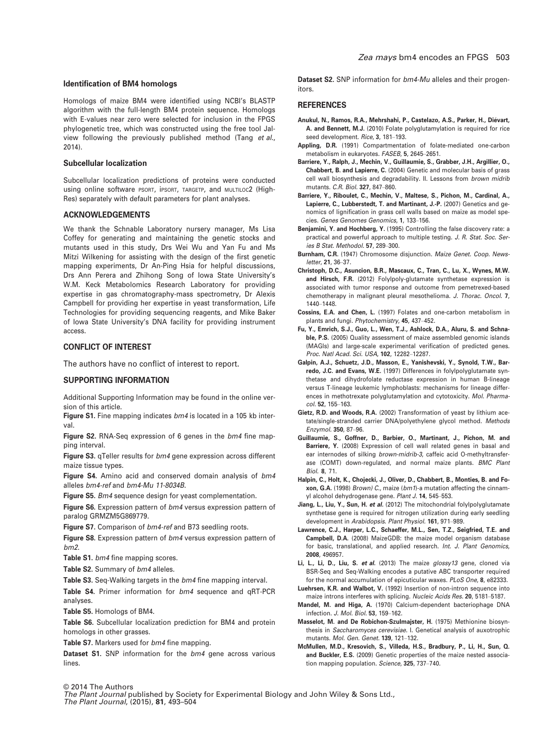#### Identification of BM4 homologs

Homologs of maize BM4 were identified using NCBI's BLASTP algorithm with the full-length BM4 protein sequence. Homologs with E-values near zero were selected for inclusion in the FPGS phylogenetic tree, which was constructed using the free tool Jalview following the previously published method (Tang et al., 2014).

#### Subcellular localization

Subcellular localization predictions of proteins were conducted using online software PSORT, iPSORT, TARGETP, and MULTILOC2 (High-Res) separately with default parameters for plant analyses.

#### ACKNOWLEDGEMENTS

We thank the Schnable Laboratory nursery manager, Ms Lisa Coffey for generating and maintaining the genetic stocks and mutants used in this study, Drs Wei Wu and Yan Fu and Ms Mitzi Wilkening for assisting with the design of the first genetic mapping experiments, Dr An-Ping Hsia for helpful discussions, Drs Ann Perera and Zhihong Song of Iowa State University's W.M. Keck Metabolomics Research Laboratory for providing expertise in gas chromatography-mass spectrometry, Dr Alexis Campbell for providing her expertise in yeast transformation, Life Technologies for providing sequencing reagents, and Mike Baker of Iowa State University's DNA facility for providing instrument access.

#### CONFLICT OF INTEREST

The authors have no conflict of interest to report.

#### SUPPORTING INFORMATION

Additional Supporting Information may be found in the online version of this article.

Figure S1. Fine mapping indicates  $bm4$  is located in a 105 kb interval.

Figure S2. RNA-Seq expression of 6 genes in the bm4 fine mapping interval.

Figure S3. qTeller results for bm4 gene expression across different maize tissue types.

Figure S4. Amino acid and conserved domain analysis of bm4 alleles bm4-ref and bm4-Mu 11-8034B.

Figure S5. Bm4 sequence design for yeast complementation.

Figure S6. Expression pattern of bm4 versus expression pattern of paralog GRMZM5G869779.

Figure S7. Comparison of  $bm4$ -ref and B73 seedling roots.

Figure S8. Expression pattern of bm4 versus expression pattern of bm2.

Table S1. bm4 fine mapping scores.

Table S2. Summary of  $bm4$  alleles.

Table S3. Seq-Walking targets in the  $bm4$  fine mapping interval.

Table S4. Primer information for bm4 sequence and qRT-PCR analyses.

Table S5. Homologs of BM4.

Table S6. Subcellular localization prediction for BM4 and protein homologs in other grasses.

Table S7. Markers used for bm4 fine mapping.

Dataset S1. SNP information for the bm4 gene across various lines.

Dataset S2. SNP information for bm4-Mu alleles and their progenitors.

#### **REFERENCES**

- Anukul, N., Ramos, R.A., Mehrshahi, P., Castelazo, A.S., Parker, H., Diévart, A. and Bennett, M.J. (2010) Folate polyglutamylation is required for rice seed development. Rice, 3, 181-193.
- Appling, D.R. (1991) Compartmentation of folate-mediated one-carbon metabolism in eukaryotes. FASEB, 5, 2645–2651.
- Barriere, Y., Ralph, J., Mechin, V., Guillaumie, S., Grabber, J.H., Argillier, O., Chabbert, B. and Lapierre, C. (2004) Genetic and molecular basis of grass cell wall biosynthesis and degradability. II. Lessons from brown midrib mutants. C.R. Biol. 327, 847–860.
- Barriere, Y., Riboulet, C., Mechin, V., Maltese, S., Pichon, M., Cardinal, A., Lapierre, C., Lubberstedt, T. and Martinant, J.-P. (2007) Genetics and genomics of lignification in grass cell walls based on maize as model species. Genes Genomes Genomics, 1, 133–156.
- Benjamini, Y. and Hochberg, Y. (1995) Controlling the false discovery rate: a practical and powerful approach to multiple testing. J. R. Stat. Soc. Series B Stat. Methodol. 57, 289–300.
- Burnham, C.R. (1947) Chromosome disjunction. Maize Genet. Coop. Newsletter, 21, 36–37.
- Christoph, D.C., Asuncion, B.R., Mascaux, C., Tran, C., Lu, X., Wynes, M.W. and Hirsch, F.R. (2012) Folylpoly-glutamate synthetase expression is associated with tumor response and outcome from pemetrexed-based chemotherapy in malignant pleural mesothelioma. J. Thorac. Oncol. 7, 1440–1448.
- Cossins, E.A. and Chen, L. (1997) Folates and one-carbon metabolism in plants and fungi. Phytochemistry, 45, 437–452.
- Fu, Y., Emrich, S.J., Guo, L., Wen, T.J., Ashlock, D.A., Aluru, S. and Schnable, P.S. (2005) Quality assessment of maize assembled genomic islands (MAGIs) and large-scale experimental verification of predicted genes. Proc. Natl Acad. Sci. USA, 102, 12282–12287.
- Galpin, A.J., Schuetz, J.D., Masson, E., Yanishevski, Y., Synold, T.W., Barredo, J.C. and Evans, W.E. (1997) Differences in folylpolyglutamate synthetase and dihydrofolate reductase expression in human B-lineage versus T-lineage leukemic lymphoblasts: mechanisms for lineage differences in methotrexate polyglutamylation and cytotoxicity. Mol. Pharmacol. 52, 155–163.
- Gietz, R.D. and Woods, R.A. (2002) Transformation of yeast by lithium acetate/single-stranded carrier DNA/polyethylene glycol method. Methods Enzymol. 350, 87–96.
- Guillaumie, S., Goffner, D., Barbier, O., Martinant, J., Pichon, M. and Barriere, Y. (2008) Expression of cell wall related genes in basal and ear internodes of silking brown-midrib-3, caffeic acid O-methyltransferase (COMT) down-regulated, and normal maize plants. BMC Plant Biol. 8, 71.
- Halpin, C., Holt, K., Chojecki, J., Oliver, D., Chabbert, B., Monties, B. and Foxon, G.A. (1998) Brown) C., maize (bm1)-a mutation affecting the cinnamyl alcohol dehydrogenase gene. Plant J. 14, 545–553.
- Jiang, L., Liu, Y., Sun, H. et al. (2012) The mitochondrial folylpolyglutamate synthetase gene is required for nitrogen utilization during early seedling development in Arabidopsis. Plant Physiol. 161, 971–989.
- Lawrence, C.J., Harper, L.C., Schaeffer, M.L., Sen, T.Z., Seigfried, T.E. and Campbell, D.A. (2008) MaizeGDB: the maize model organism database for basic, translational, and applied research. Int. J. Plant Genomics, 2008, 496957.

Li, L., Li, D., Liu, S. et al. (2013) The maize glossy13 gene, cloned via BSR-Seq and Seq-Walking encodes a putative ABC transporter required for the normal accumulation of epicuticular waxes. PLoS One, 8, e82333.

- Luehrsen, K.R. and Walbot, V. (1992) Insertion of non-intron sequence into maize introns interferes with splicing. Nucleic Acids Res. 20, 5181–5187.
- Mandel, M. and Higa, A. (1970) Calcium-dependent bacteriophage DNA infection. J. Mol. Biol. 53, 159–162.
- Masselot, M. and De Robichon-Szulmajster, H. (1975) Methionine biosynthesis in Saccharomyces cerevisiae. I. Genetical analysis of auxotrophic mutants. Mol. Gen. Genet. 139, 121–132.
- McMullen, M.D., Kresovich, S., Villeda, H.S., Bradbury, P., Li, H., Sun, Q. and Buckler, E.S. (2009) Genetic properties of the maize nested association mapping population. Science, 325, 737–740.

© 2014 The Authors The Plant Journal published by Society for Experimental Biology and John Wiley & Sons Ltd., The Plant Journal, (2015), 81, 493–504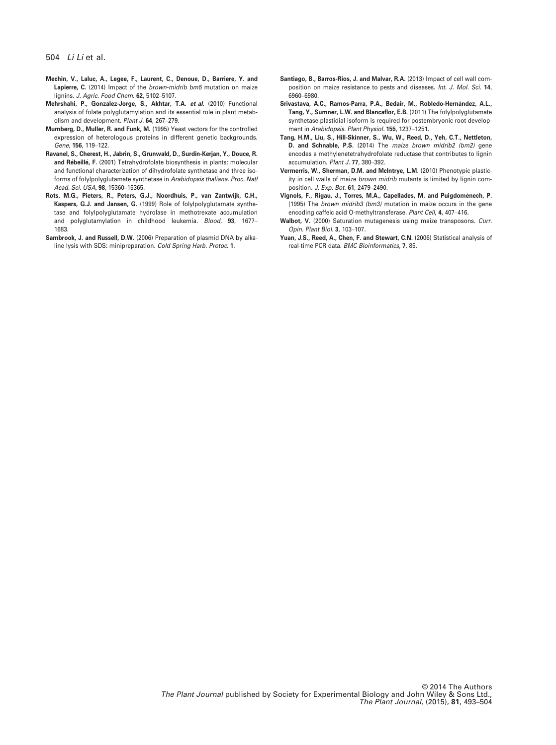- Mechin, V., Laluc, A., Legee, F., Laurent, C., Denoue, D., Barriere, Y. and Lapierre, C. (2014) Impact of the *brown-midrib bm5* mutation on maize lignins. J. Agric. Food Chem. 62, 5102–5107.
- Mehrshahi, P., Gonzalez-Jorge, S., Akhtar, T.A. et al. (2010) Functional analysis of folate polyglutamylation and its essential role in plant metabolism and development. Plant J. 64, 267–279.
- Mumberg, D., Muller, R. and Funk, M. (1995) Yeast vectors for the controlled expression of heterologous proteins in different genetic backgrounds. Gene, 156, 119–122.
- Ravanel, S., Cherest, H., Jabrin, S., Grunwald, D., Surdin-Kerjan, Y., Douce, R. **and Rébeillé, F**. (2001) Tetrahydrofolate biosynthesis in plants: molecular and functional characterization of dihydrofolate synthetase and three isoforms of folylpolyglutamate synthetase in Arabidopsis thaliana. Proc. Natl Acad. Sci. USA, 98, 15360–15365.
- Rots, M.G., Pieters, R., Peters, G.J., Noordhuis, P., van Zantwijk, C.H., Kaspers, G.J. and Jansen, G. (1999) Role of folylpolyglutamate synthetase and folylpolyglutamate hydrolase in methotrexate accumulation and polyglutamylation in childhood leukemia. Blood, 93, 1677– 1683.
- Sambrook, J. and Russell, D.W. (2006) Preparation of plasmid DNA by alkaline lysis with SDS: minipreparation. Cold Spring Harb. Protoc. 1.
- Santiago, B., Barros-Rios, J. and Malvar, R.A. (2013) Impact of cell wall composition on maize resistance to pests and diseases. Int. J. Mol. Sci. 14, 6960–6980.
- Srivastava, A.C., Ramos-Parra, P.A., Bedair, M., Robledo-Hernández, A.L., Tang, Y., Sumner, L.W. and Blancaflor, E.B. (2011) The folylpolyglutamate synthetase plastidial isoform is required for postembryonic root development in Arabidopsis. Plant Physiol. 155, 1237–1251.
- Tang, H.M., Liu, S., Hill-Skinner, S., Wu, W., Reed, D., Yeh, C.T., Nettleton, D. and Schnable, P.S. (2014) The maize brown midrib2 (bm2) gene encodes a methylenetetrahydrofolate reductase that contributes to lignin accumulation. Plant J. 77, 380–392.
- Vermerris, W., Sherman, D.M. and McIntrye, L.M. (2010) Phenotypic plasticity in cell walls of maize brown midrib mutants is limited by lignin composition. J. Exp. Bot. 61, 2479–2490.
- Vignols, F., Rigau, J., Torres, M.A., Capellades, M. and Puigdomenech, P. (1995) The brown midrib3 (bm3) mutation in maize occurs in the gene encoding caffeic acid O-methyltransferase. Plant Cell, 4, 407–416.
- Walbot, V. (2000) Saturation mutagenesis using maize transposons. Curr. Opin. Plant Biol. 3, 103–107.
- Yuan, J.S., Reed, A., Chen, F. and Stewart, C.N. (2006) Statistical analysis of real-time PCR data. BMC Bioinformatics, 7, 85.